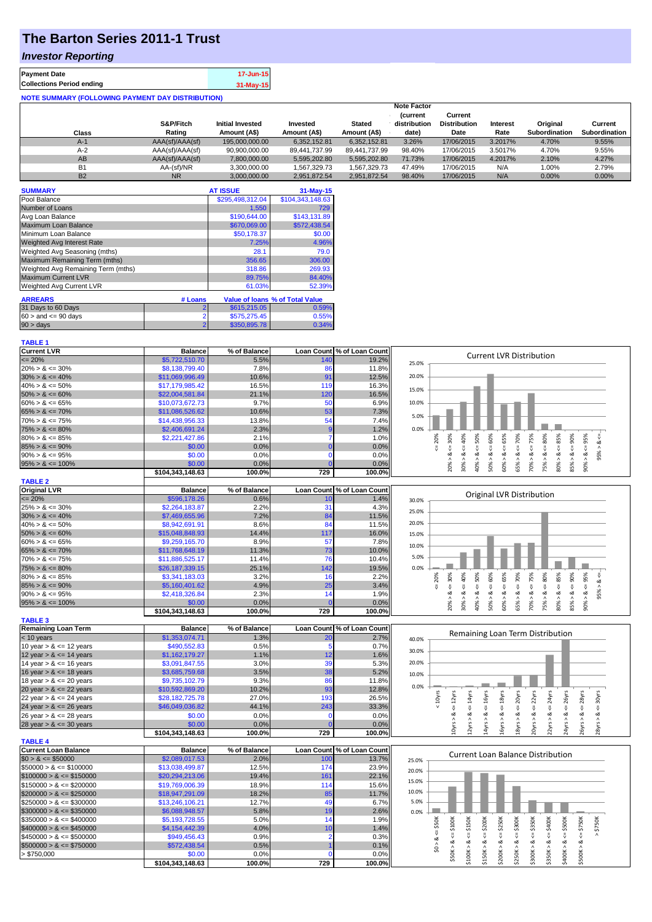# **The Barton Series 2011-1 Trust**

### *Investor Reporting*

| <b>Payment Date</b>              | 17-Jun-15 |
|----------------------------------|-----------|
| <b>Collections Period ending</b> | 31-May-15 |
|                                  |           |

| <b>NOTE SUMMARY (FOLLOWING PAYMENT DAY DISTRIBUTION)</b> |                 |                         |               |               |                                |                                |          |                      |                      |
|----------------------------------------------------------|-----------------|-------------------------|---------------|---------------|--------------------------------|--------------------------------|----------|----------------------|----------------------|
|                                                          |                 |                         |               |               | <b>Note Factor</b>             |                                |          |                      |                      |
|                                                          | S&P/Fitch       | <b>Initial Invested</b> | Invested      | <b>Stated</b> | <b>Current</b><br>distribution | Current<br><b>Distribution</b> | Interest | Original             | Current              |
| Class                                                    | Rating          | Amount (A\$)            | Amount (A\$)  | Amount (A\$)  | date)                          | Date                           | Rate     | <b>Subordination</b> | <b>Subordination</b> |
| $A-1$                                                    | AAA(sf)/AAA(sf) | 195,000,000.00          | 6.352.152.81  | 6.352.152.81  | 3.26%                          | 17/06/2015                     | 3.2017%  | 4.70%                | 9.55%                |
| $A-2$                                                    | AAA(sf)/AAA(sf) | 90,900,000.00           | 89,441,737.99 | 89.441.737.99 | 98.40%                         | 17/06/2015                     | 3.5017%  | 4.70%                | 9.55%                |
| AB                                                       | AAA(sf)/AAA(sf) | 7,800,000.00            | 5.595.202.80  | 5,595,202.80  | 71.73%                         | 17/06/2015                     | 4.2017%  | 2.10%                | 4.27%                |
| <b>B1</b>                                                | AA-(sf)/NR      | 3.300.000.00            | 1.567.329.73  | 1.567.329.73  | 47.49%                         | 17/06/2015                     | N/A      | 1.00%                | 2.79%                |
| <b>B2</b>                                                | <b>NR</b>       | 3.000.000.00            | 2.951.872.54  | 2.951.872.54  | 98.40%                         | 17/06/2015                     | N/A      | 0.00%                | 0.00%                |

| <b>SUMMARY</b>                     |         | <b>AT ISSUE</b>  | $31-May-15$                            |
|------------------------------------|---------|------------------|----------------------------------------|
| Pool Balance                       |         | \$295.498.312.04 | \$104,343,148.63                       |
| Number of Loans                    |         | 1,550            | 729                                    |
| Avg Loan Balance                   |         | \$190,644.00     | \$143,131.89                           |
| <b>Maximum Loan Balance</b>        |         | \$670,069.00     | \$572,438.54                           |
| Minimum Loan Balance               |         | \$50,178.37      | \$0.00                                 |
| <b>Weighted Avg Interest Rate</b>  |         | 7.25%            | 4.96%                                  |
| Weighted Avg Seasoning (mths)      |         | 28.1             | 79.0                                   |
| Maximum Remaining Term (mths)      |         | 356.65           | 306.00                                 |
| Weighted Avg Remaining Term (mths) |         | 318.86           | 269.93                                 |
| <b>Maximum Current LVR</b>         |         | 89.75%           | 84.40%                                 |
| Weighted Avg Current LVR           |         | 61.03%           | 52.39%                                 |
| <b>ARREARS</b>                     | # Loans |                  | <b>Value of loans % of Total Value</b> |
| 31 Days to 60 Days                 |         | \$615,215.05     | 0.59%                                  |
| $60 >$ and $\leq 90$ days          |         | \$575,275.45     | 0.55%                                  |
| 90 > days                          |         | \$350,895.78     | 0.34%                                  |

### **TABLE 1**

| <b>Current LVR</b>                                       | <b>Balance</b>             | % of Balance   |                | Loan Count % of Loan Count | <b>Current LVR Distribution</b>                                                                                                                                                                                                                                |
|----------------------------------------------------------|----------------------------|----------------|----------------|----------------------------|----------------------------------------------------------------------------------------------------------------------------------------------------------------------------------------------------------------------------------------------------------------|
| $= 20%$                                                  | \$5,722,510.70             | 5.5%           | 140            | 19.2%                      | 25.0%                                                                                                                                                                                                                                                          |
| $20\% > 8 \le 30\%$                                      | \$8,138,799.40             | 7.8%           | 86             | 11.8%                      |                                                                                                                                                                                                                                                                |
| $30\% > 8 \le 40\%$                                      | \$11,069,996.49            | 10.6%          | 91             | 12.5%                      | 20.0%                                                                                                                                                                                                                                                          |
| $40\% > 8 \le 50\%$                                      | \$17,179,985.42            | 16.5%          | 119            | 16.3%                      | 15.0%                                                                                                                                                                                                                                                          |
| $50\% > 8 \le 60\%$                                      | \$22,004,581.84            | 21.1%          | 120            | 16.5%                      |                                                                                                                                                                                                                                                                |
| $60\% > 8 \le 65\%$                                      | \$10,073,672.73            | 9.7%           | 50             | 6.9%                       | 10.0%                                                                                                                                                                                                                                                          |
| $65\% > 8 \le 70\%$                                      | \$11,086,526.62            | 10.6%          | 53             | 7.3%                       |                                                                                                                                                                                                                                                                |
| $70\% > 8 \le 75\%$                                      | \$14,438,956.33            | 13.8%          | 54             | 7.4%                       | 5.0%                                                                                                                                                                                                                                                           |
| $75\% > 8 \le 80\%$                                      | \$2,406,691.24             | 2.3%           | 9              | 1.2%                       | 0.0%                                                                                                                                                                                                                                                           |
| $80\% > 8 \le 85\%$                                      | \$2,221,427.86             | 2.1%           | 7              | 1.0%                       | 50%<br>$50\% > 8 <= 60\%$<br>$\le 65\%$<br>70%<br>$70\% > 8 <= 75\%$<br>$\leq 80\%$<br>$80\% > 8 \leq 85\%$<br>40%<br>20%                                                                                                                                      |
| $85\% > 8 \le 90\%$                                      | \$0.00                     | 0.0%           | $\Omega$       | 0.0%                       | $20\% > 8 \leq 30\%$<br>$85% > 8 < = 90%$<br>$%26 = > 8 < 806$<br>$95\% > 8 \le$<br>V                                                                                                                                                                          |
| $90\% > 8 \le 95\%$                                      | \$0.00                     | 0.0%           | $\Omega$       | 0.0%                       |                                                                                                                                                                                                                                                                |
| $95\% > 8 \le 100\%$                                     | \$0.00                     | 0.0%           |                | 0.0%                       | 65% > 8 <<br>$30\% > 8.$<br>40% > 8<br>60% > 8<br>75% > 8.                                                                                                                                                                                                     |
|                                                          | \$104,343,148.63           | 100.0%         | 729            | 100.0%                     |                                                                                                                                                                                                                                                                |
| <b>TABLE 2</b>                                           |                            |                |                |                            |                                                                                                                                                                                                                                                                |
| <b>Original LVR</b>                                      | <b>Balance</b>             | % of Balance   |                | Loan Count % of Loan Count |                                                                                                                                                                                                                                                                |
| $= 20%$                                                  | \$596,178.26               | 0.6%           | 10             | 1.4%                       | Original LVR Distribution<br>30.0%                                                                                                                                                                                                                             |
| $25\% > 8 \le 30\%$                                      | \$2,264,183.87             | 2.2%           | 31             | 4.3%                       |                                                                                                                                                                                                                                                                |
| $30\% > 8 \le 40\%$                                      | \$7,469,655.96             | 7.2%           | 84             | 11.5%                      | 25.0%                                                                                                                                                                                                                                                          |
| $40\% > 8 \le 50\%$                                      | \$8,942,691.91             | 8.6%           | 84             | 11.5%                      | 20.0%                                                                                                                                                                                                                                                          |
| $50\% > 8 \le 60\%$                                      | \$15,048,848.93            | 14.4%          | 117            | 16.0%                      | 15.0%                                                                                                                                                                                                                                                          |
| $60\% > 8 \le 65\%$                                      | \$9,259,165.70             | 8.9%           | 57             | 7.8%                       |                                                                                                                                                                                                                                                                |
| $65\% > 8 \le 70\%$                                      | \$11,768,648.19            | 11.3%          | 73             | 10.0%                      | 10.0%                                                                                                                                                                                                                                                          |
| $70\% > 8 \le 75\%$                                      | \$11,886,525.17            | 11.4%          | 76             | 10.4%                      | 5.0%                                                                                                                                                                                                                                                           |
| $75\% > 8 \le 80\%$                                      | \$26,187,339.15            | 25.1%          | 142            | 19.5%                      | 0.0%                                                                                                                                                                                                                                                           |
| $80\% > 8 \le 85\%$                                      | \$3,341,183.03             | 3.2%           | 16             | 2.2%                       | 20%                                                                                                                                                                                                                                                            |
| $85\% > 8 \le 90\%$                                      | \$5,160,401.62             | 4.9%           | 25             | 3.4%                       |                                                                                                                                                                                                                                                                |
| $90\% > 8 \le 95\%$                                      | \$2,418,326.84             | 2.3%           | 14             | 1.9%                       | $40\% > 8 <= 50\%$<br>$60\% > 8 <= 65\%$<br>$65\% > 8 <= 70\%$<br>$70\% > 8 <= 75\%$<br>$75\% > 8 <= 80\%$<br>$80\% > 8 < = 85\%$<br>$85% > 8 <= 90%$<br>$%26 = > 8 < 806$<br>$20\% > 8 <= 30\%$<br>$30\% > 8 <= 40\%$<br>$50\% > 8 <= 60\%$<br>$95\% > 8 \le$ |
| $95\% > 8 \le 100\%$                                     | \$0.00                     | 0.0%           | $\Omega$       | 0.0%                       |                                                                                                                                                                                                                                                                |
|                                                          | \$104,343,148.63           | 100.0%         | 729            | 100.0%                     |                                                                                                                                                                                                                                                                |
| <b>TABLE 3</b>                                           |                            |                |                |                            |                                                                                                                                                                                                                                                                |
| <b>Remaining Loan Term</b>                               | <b>Balance</b>             | % of Balance   |                | Loan Count % of Loan Count |                                                                                                                                                                                                                                                                |
| $<$ 10 years                                             | \$1,353,074.71             | 1.3%           | 20             | 2.7%                       | Remaining Loan Term Distribution                                                                                                                                                                                                                               |
| 10 year $> 8 \le 12$ years                               | \$490,552.83               | 0.5%           | 5              | 0.7%                       | 40.0%                                                                                                                                                                                                                                                          |
| 12 year $> 8 \le 14$ years                               | \$1,162,179.27             | 1.1%           | 12             | 1.6%                       | 30.0%                                                                                                                                                                                                                                                          |
| 14 year $> 8 \le 16$ years                               | \$3,091,847.55             | 3.0%           | 39             | 5.3%                       | 20.0%                                                                                                                                                                                                                                                          |
| 16 year $> 8 \le 18$ years                               | \$3,685,759.68             | 3.5%           | 38             | 5.2%                       |                                                                                                                                                                                                                                                                |
| 18 year $> 8 \le 20$ years                               | \$9,735,102.79             | 9.3%           | 86             | 11.8%                      | 10.0%                                                                                                                                                                                                                                                          |
| 20 year $> 8 \le 22$ years                               | \$10,592,869.20            | 10.2%          | 93             | 12.8%                      | 0.0%                                                                                                                                                                                                                                                           |
| 22 year $> 8 \le 24$ years                               | \$28,182,725.78            | 27.0%          | 193            | 26.5%                      | $<=20$ yrs<br>< 10yrs<br>$\le$ = 16 $yrs$<br>$\le$ = 18 $yrs$<br>$\epsilon$ = 22 $\gamma$ rs<br>$24Y$ rs<br>26yrs                                                                                                                                              |
| 24 year $> 8 \le 26$ years                               | \$46,049,036.82            | 44.1%          | 243            | 33.3%                      | $\le$ = 14 $\gamma$ rs<br>$\epsilon$ = 28 $\gamma$ rs<br>$\epsilon$ = 30 $\gamma$ rs<br>$\frac{11}{2}$                                                                                                                                                         |
| 26 year $> 8 \le 28$ years                               | \$0.00                     | 0.0%           | n              | 0.0%                       | ઌૢ<br>ઌ<br>ઌ<br>ಷ                                                                                                                                                                                                                                              |
| 28 year $> 8 \le 30$ years                               | \$0.00                     | 0.0%           |                | 0.0%                       | $10yrs > 8c = 12yrs$                                                                                                                                                                                                                                           |
|                                                          | \$104,343,148.63           | 100.0%         | 729            | 100.0%                     | 12yrs > 8<br>14yrs > 8<br>16yrs > 8<br>20yrs > 8<br>18yrs > 8<br>22yrs > b<br>24yrs > 8<br>26yrs > b<br>28yrs                                                                                                                                                  |
| <b>TABLE 4</b>                                           |                            |                |                |                            |                                                                                                                                                                                                                                                                |
| <b>Current Loan Balance</b>                              | <b>Balance</b>             | % of Balance   |                | Loan Count % of Loan Count |                                                                                                                                                                                                                                                                |
| $$0 > 8 \leq $50000$                                     | \$2,089,017.53             | 2.0%           | 100            | 13.7%                      | <b>Current Loan Balance Distribution</b><br>25.0%                                                                                                                                                                                                              |
| $$50000 > 8 \le $100000$                                 | \$13,038,499.87            | 12.5%          | 174            | 23.9%                      |                                                                                                                                                                                                                                                                |
| $$100000 > 8 \leq $150000$                               | \$20,294,213.06            | 19.4%          | 161            | 22.1%                      | 20.0%                                                                                                                                                                                                                                                          |
| $$150000 > 8 \leq $200000$                               | \$19,769,006.39            | 18.9%          | 114            | 15.6%                      | 15.0%                                                                                                                                                                                                                                                          |
| $$200000 > 8 \leq $250000$                               | \$18,947,291.09            | 18.2%          | 85             | 11.7%                      | 10.0%                                                                                                                                                                                                                                                          |
| $$250000 > 8 \leq $300000$                               | \$13,246,106.21            | 12.7%          | 49             | 6.7%                       | 5.0%                                                                                                                                                                                                                                                           |
|                                                          |                            | 5.8%           |                | 2.6%                       |                                                                                                                                                                                                                                                                |
| $$300000 > 8 \leq $350000$<br>$$350000 > 8 \leq $400000$ | \$6,088,948.57             | 5.0%           | 19<br>14       |                            | 0.0%                                                                                                                                                                                                                                                           |
|                                                          | \$5,193,728.55             | 4.0%           | 10             | 1.9%                       | : \$150K<br>: \$350K<br>$4 = $400K$<br>\$200K<br>$-5250K$<br>\$300K<br>\$750K<br>$4 = $50K$                                                                                                                                                                    |
| $$400000 > 8 \leq $450000$                               | \$4,154,442.39             |                | $\overline{2}$ | 1.4%                       |                                                                                                                                                                                                                                                                |
| $$450000 > 8 \leq $500000$<br>$$500000 > 8 \leq $750000$ | \$949,456.43               | 0.9%           |                | 0.3%                       |                                                                                                                                                                                                                                                                |
|                                                          |                            |                |                |                            | ಹ<br>œ                                                                                                                                                                                                                                                         |
|                                                          | \$572,438.54               | 0.5%           |                | 0.1%                       | \$0 > 8<br>ಷ                                                                                                                                                                                                                                                   |
| > \$750,000                                              | \$0.00<br>\$104,343,148.63 | 0.0%<br>100.0% | 729            | 0.0%<br>100.0%             | $$400K > 8 <= $500K$<br>$$50K > 8 <= $100K$<br>$$500K > 8 <= $750K$<br>\$100K > 8<br>\$350K > 8<br>\$300K > 8<br>\$250K><br>\$150K><br>\$200K >                                                                                                                |